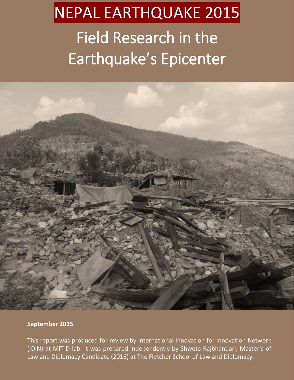# NEPAL EARTHQUAKE 2015

## Field Research in the Earthquake's Epicenter



### **September 2015**

This report was produced for review by International Innovation for Innovation Network (IDIN) at MIT D-lab. It was prepared independently by Shweta Rajbhandari, Master's of Law and Diplomacy Candidate (2016) at The Fletcher School of Law and Diplomacy.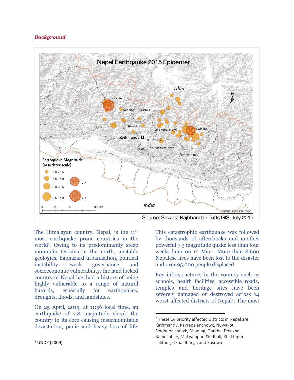#### *Background*



The Himalayan country, Nepal, is the 11<sup>th</sup> most earthquake prone countries in the world<sup>1</sup>. Owing to its predominantly steep mountain terrains in the north, unstable geologies, haphazard urbanization, political instability, weak governance and socioeconomic vulnerability, the land locked country of Nepal has had a history of being highly vulnerable to a range of natural hazards, especially for earthquakes, droughts, floods, and landslides.

On 25 April, 2015, at 11:56 local time, an earthquake of 7.8 magnitude shook the country to its core causing insurmountable devastation, panic and heavy loss of life. This catastrophic earthquake was followed by thousands of aftershocks and another powerful 7.3 magnitude quake less than four weeks later on 12 May. More than 8,600 Nepalese lives have been lost to the disaster and over 95,000 people displaced.

Key infrastructures in the country such as schools, health facilities, accessible roads, temples and heritage sites have been severely damaged or destroyed across 14 worst affected districts of Nepal2. The most

<sup>&</sup>lt;sup>2</sup> These 14 priority affected districts in Nepal are: Kathmandu, Kavrepalanchowk, Nuwakot, Sindhupalchowk, Dhading, Gorkha, Dolakha, Ramechhap, Makwanpur, Sindhuli, Bhaktapur, Lalitpur, Okhaldhunga and Rasuwa.

 $1$  UNDP (2009)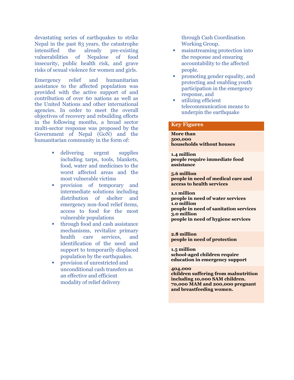devastating series of earthquakes to strike Nepal in the past 83 years, the catastrophe intensified the already pre-existing vulnerabilities of Nepalese of food insecurity, public health risk, and grave risks of sexual violence for women and girls.

Emergency relief and humanitarian assistance to the affected population was provided with the active support of and contribution of over 60 nations as well as the United Nations and other international agencies. In order to meet the overall objectives of recovery and rebuilding efforts in the following months, a broad sector multi-sector response was proposed by the Government of Nepal (GoN) and the humanitarian community in the form of:

- delivering urgent supplies including tarps, tools, blankets, food, water and medicines to the worst affected areas and the most vulnerable victims
- provision of temporary and intermediate solutions including distribution of shelter and emergency non-food relief items, access to food for the most vulnerable populations
- **through food and cash assistance** mechanisms, revitalize primary health care services, and identification of the need and support to temporarily displaced population by the earthquakes.
- **Provision of unrestricted and** unconditional cash transfers as an effective and efficient modality of relief delivery

through Cash Coordination Working Group.

- mainstreaming protection into the response and ensuring accountability to the affected people.
- promoting gender equality, and protecting and enabling youth participation in the emergency response, and
- utilizing efficient telecommunication means to underpin the earthquake

#### **Key Figures**

**More than 500,000 households without houses**

**1.4 million people require immediate food assistance**

**5.6 million people in need of medical care and access to health services**

**1.1 million people in need of water services 1.0 million people in need of sanitation services 3.0 million people in need of hygiene services**

**2.8 million people in need of protection**

**1.5 million school-aged children require education in emergency support**

#### **404,000**

**children suffering from malnutrition including 10,000 SAM children. 70,000 MAM and 200,000 pregnant and breastfeeding women.**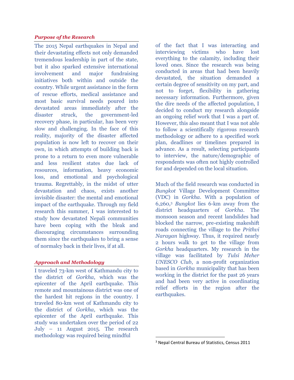#### *Purpose of the Research*

The 2015 Nepal earthquakes in Nepal and their devastating effects not only demanded tremendous leadership in part of the state, but it also sparked extensive international involvement and major fundraising initiatives both within and outside the country. While urgent assistance in the form of rescue efforts, medical assistance and most basic survival needs poured into devastated areas immediately after the disaster struck, the government-led recovery phase, in particular, has been very slow and challenging. In the face of this reality, majority of the disaster affected population is now left to recover on their own, in which attempts of building back is prone to a return to even more vulnerable and less resilient states due lack of resources, information, heavy economic loss, and emotional and psychological trauma. Regrettably, in the midst of utter devastation and chaos, exists another invisible disaster: the mental and emotional impact of the earthquake. Through my field research this summer, I was interested to study how devastated Nepali communities have been coping with the bleak and discouraging circumstances surrounding them since the earthquakes to bring a sense of normalcy back in their lives, if at all.

#### *Approach and Methodology*

I traveled 73-km west of Kathmandu city to the district of *Gorkha*, which was the epicenter of the April earthquake. This remote and mountainous district was one of the hardest hit regions in the country. I traveled 80-km west of Kathmandu city to the district of *Gorkha*, which was the epicenter of the April earthquake. This study was undertaken over the period of 22 July – 11 August 2015. The research methodology was required being mindful

of the fact that I was interacting and interviewing victims who have lost everything to the calamity, including their loved ones. Since the research was being conducted in areas that had been heavily devastated, the situation demanded a certain degree of sensitivity on my part, and not to forget, flexibility in gathering necessary information. Furthermore, given the dire needs of the affected population, I decided to conduct my research alongside an ongoing relief work that I was a part of. However, this also meant that I was not able to follow a scientifically rigorous research methodology or adhere to a specified work plan, deadlines or timelines prepared in advance. As a result, selecting participants to interview, the nature/demographic of respondents was often not highly controlled for and depended on the local situation.

Much of the field research was conducted in *Bungkot* Village Development Committee (VDC) in *Gorkha*. With a population of 6,260,3 *Bungkot* lies 6-km away from the district headquarters of *Gorkha*. The monsoon season and recent landslides had blocked the narrow, pre-existing makeshift roads connecting the village to the *Prithvi Narayan* highway. Thus, it required nearly 2 hours walk to get to the village from *Gorkha* headquarters. My research in the village was facilitated by *Tulsi Meher UNESCO Club*, a non-profit organization based in *Gorkha* municipality that has been working in the district for the past 26 years and had been very active in coordinating relief efforts in the region after the earthquakes.

 <sup>3</sup> Nepal Central Bureau of Statistics, Census 2011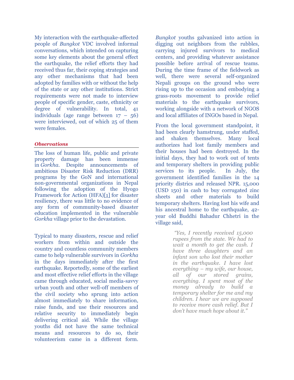My interaction with the earthquake-affected people of *Bungkot* VDC involved informal conversations, which intended on capturing some key elements about the general effect the earthquake, the relief efforts they had received thus far, their coping strategies and any other mechanisms that had been adopted by families with or without the help of the state or any other institutions. Strict requirements were not made to interview people of specific gender, caste, ethnicity or degree of vulnerability. In total, 41 individuals (age range between 17 – 56) were interviewed, out of which 25 of them were females.

#### *Observations*

The loss of human life, public and private property damage has been immense in *Gorkha*. Despite announcements of ambitious Disaster Risk Reduction (DRR) programs by the GoN and international non-governmental organizations in Nepal following the adoption of the Hyogo Framework for Action (HFA)[1] for disaster resiliency, there was little to no evidence of any form of community-based disaster education implemented in the vulnerable *Gorkha* village prior to the devastation.

Typical to many disasters, rescue and relief workers from within and outside the country and countless community members came to help vulnerable survivors in *Gorkha*  in the days immediately after the first earthquake. Reportedly, some of the earliest and most effective relief efforts in the village came through educated, social media-savvy urban youth and other well-off members of the civil society who sprung into action almost immediately to share information, raise funds, and use their resources and relative security to immediately begin delivering critical aid. While the village youths did not have the same technical means and resources to do so, their volunteerism came in a different form.

*Bungkot* youths galvanized into action in digging out neighbors from the rubbles, carrying injured survivors to medical centers, and providing whatever assistance possible before arrival of rescue teams. During the time frame of the fieldwork as well, there were several self-organized Nepali groups on the ground who were rising up to the occasion and embodying a grass-roots movement to provide relief materials to the earthquake survivors, working alongside with a network of NGOS and local affiliates of INGOs based in Nepal.

From the local government standpoint, it had been clearly hamstrung, under staffed, and shaken themselves. Many local authorizes had lost family members and their houses had been destroyed. In the initial days, they had to work out of tents and temporary shelters in providing public services to its people. In July, the government identified families in the 14 priority districs and released NPR. 15,000 (USD 150) in cash to buy corrugated zinc sheets and other materials to build temporary shelters. Having lost his wife and his ancestral home to the earthquake, 42 year old Buddhi Bahadur Chhetri in the village said,

> *"Yes, I recently received 15,000 rupees from the state. We had to wait a month to get the cash. I have three daughters and an infant son who lost their mother in the earthquake. I have lost everything – my wife, our house, all of our stored grains, everything. I spent most of the money already to build a temporary shelter for me and my children. I hear we are supposed to receive more cash relief. But I don't have much hope about it."*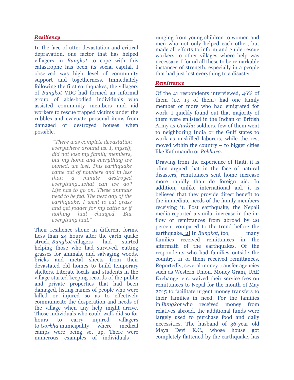#### *Resiliency*

In the face of utter devastation and critical depravation, one factor that has helped villagers in *Bungkot* to cope with this catastrophe has been its social capital. I observed was high level of community support and togetherness. Immediately following the first earthquakes, the villagers of *Bungkot* VDC had formed an informal group of able-bodied individuals who assisted community members and aid workers to rescue trapped victims under the rubbles and evacuate personal items from damaged or destroyed houses when possible.

> *"There was complete devastation everywhere around us. I, myself, did not lose my family members, but my home and everything we owned, we lost. This earthquake came out of nowhere and in less than a minute destroyed everything...what can we do? Life has to go on. These animals need to be fed. The next day of the earthquake, I went to cut grass and get fodder for my cattle as if nothing had changed. But everything had."*

Their resilience shone in different forms. Less than 24 hours after the earth quake struck, *Bungkot* villagers had started helping those who had survived, cutting grasses for animals, and salvaging woods, bricks and metal sheets from their devastated old homes to build temporary shelters. Literate locals and students in the village started keeping records of the public and private properties that had been damaged, listing names of people who were killed or injured so as to effectively communicate the desperation and needs of the village when any help might arrive. Those individuals who could walk did so for hours to carry injured villagers to *Gorkha* municipality where medical camps were being set up. There were numerous examples of individuals –

ranging from young children to women and men who not only helped each other, but made all efforts to inform and guide rescue workers to other villages where help was necessary. I found all these to be remarkable instances of strength, especially in a people that had just lost everything to a disaster.

#### *Remittance*

Of the 41 respondents interviewed, 46% of them (i.e. 19 of them) had one family member or more who had emigrated for work. I quickly found out that majority of them were enlisted in the Indian or British Army as *Gurkha* soldiers, few of them went to neighboring India or the Gulf states to work as unskilled laborers, while the rest moved within the country – to bigger cities like Kathmandu or *Pokhara*.

Drawing from the experience of Haiti, it is often argued that in the face of natural disasters, remittances sent home increase more rapidly than do foreign aid. In addition, unlike international aid, it is believed that they provide direct benefit to the immediate needs of the family members receiving it. Post earthquake, the Nepali media reported a similar increase in the inflow of remittances from abroad by 20 percent compared to the trend before the earthquake.[2] In *Bungkot,* too, many families received remittances in the aftermath of the earthquakes. Of the respondents who had families outside the country, 11 of them received remittances. Reportedly, several money transfer agencies such as Western Union, Money Gram, UAE Exchange, etc. waived their service fees on remittances to Nepal for the month of May 2015 to facilitate urgent money transfers to their families in need. For the families in *Bungkot* who received money from relatives abroad, the additional funds were largely used to purchase food and daily necessities. The husband of 36-year old Maya Devi K.C., whose house got completely flattened by the earthquake, has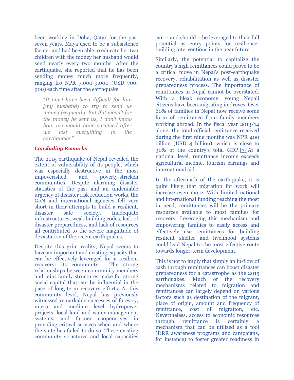been working in Doha, Qatar for the past seven years. Maya used to be a subsistence farmer and had been able to educate her two children with the money her husband would send nearly every two months. After the earthquake, she reported that he has been sending money much more frequently, ranging fro NPR 7,000-9,000 (USD 700- 900) each time after the earthquake

"*It must have been difficult for him [my husband] to try to send us money frequently. But if it wasn't for the money he sent us, I don't know how we would have survived after we lost everything in the earthquake."*

#### *Concluding Remarks*

The 2015 earthquake of Nepal revealed the extent of vulnerability of its people, which was especially destructive in the most impoverished and poverty-stricken communities. Despite alarming disaster statistics of the past and an undeniable urgency of disaster risk reduction works, the GoN and international agencies fell very short in their attempts to build a resilient, disaster safe society. Inadequate infrastructures, weak building codes, lack of disaster preparedness, and lack of resources all contributed to the severe magnitude of devastation of the recent earthquakes.

Despite this grim reality, Nepal seems to have an important and existing capacity that can be effectively leveraged for a resilient recovery: its community. The strong relationships between community members and joint family structures make for strong social capital that can be influential in the pace of long-term recovery efforts. At this community level, Nepal has previously witnessed remarkable successes of forestry, micro and medium level hydropower projects, local land and water management systems, and farmer cooperatives in providing critical services when and where the state has failed to do so. These existing community structures and local capacities

can – and should – be leveraged to their full potential as entry points for resiliencebuilding interventions in the near future.

Similarly, the potential to capitalize the country's high remittances could prove to be a critical move in Nepal's post-earthquake recovery, rehabilitation as well as disaster preparedness process. The importance of remittances in Nepal cannot be overstated. With a bleak economy, young Nepali citizens have been migrating in droves. Over 60% of families in Nepal now receive some form of remittance from family members working abroad. In the fiscal year 2013/14 alone, the total official remittance received during the first nine months was NPR 400 billion (USD 4 billion), which is close to 30% of the country's total GDP.[3] At a national level, remittance income exceeds agricultural income, tourism earnings and international aid.

In the aftermath of the earthquake, it is quite likely that migration for work will increase even more. With limited national and international funding reaching the most in need, remittances will be the primary resources available to most families for recovery. Leveraging this mechanism and empowering families to easily access and effectively use remittances for building resilient shelter and livelihood systems could lead Nepal to the most effective route towards longer-term development.

This is not to imply that simply an in-flow of cash through remittances can boost disaster preparedness for a catastrophe as the 2015 earthquakes. Much of the recovery mechanisms related to migration and remittances can largely depend on various factors such as destination of the migrant, place of origin, amount and frequency of remittance, cost of migration, etc. Nevertheless, access to economic resources through remittance is certainly a mechanism that can be utilized as a tool (DRR awareness programs and campaigns, for instance) to foster greater readiness in